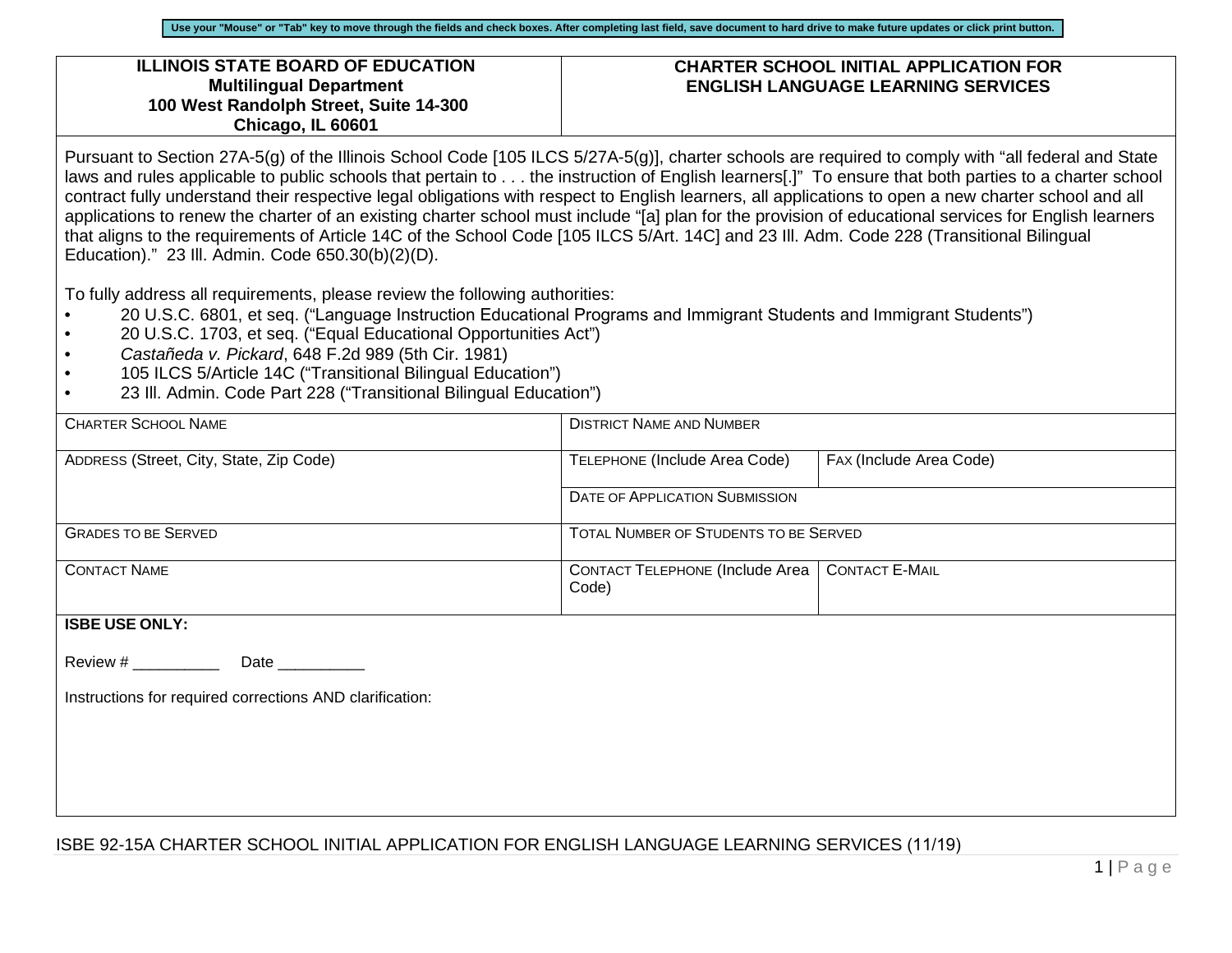#### **ILLINOIS STATE BOARD OF EDUCATION Multilingual Department 100 West Randolph Street, Suite 14-300 Chicago, IL 60601**

### **CHARTER SCHOOL INITIAL APPLICATION FOR ENGLISH LANGUAGE LEARNING SERVICES**

Pursuant to Section 27A-5(g) of the Illinois School Code [105 ILCS 5/27A-5(g)], charter schools are required to comply with "all federal and State laws and rules applicable to public schools that pertain to . . . the instruction of English learners[.]" To ensure that both parties to a charter school contract fully understand their respective legal obligations with respect to English learners, all applications to open a new charter school and all applications to renew the charter of an existing charter school must include "[a] plan for the provision of educational services for English learners that aligns to the requirements of Article 14C of the School Code [105 ILCS 5/Art. 14C] and 23 Ill. Adm. Code 228 (Transitional Bilingual Education)." 23 Ill. Admin. Code 650.30(b)(2)(D).

To fully address all requirements, please review the following authorities:

- 20 U.S.C. 6801, et seq. ("Language Instruction Educational Programs and Immigrant Students and Immigrant Students")
- 20 U.S.C. 1703, et seq. ("Equal Educational Opportunities Act")
- *Castañeda v. Pickard*, 648 F.2d 989 (5th Cir. 1981)
- 105 ILCS 5/Article 14C ("Transitional Bilingual Education")
- 23 Ill. Admin. Code Part 228 ("Transitional Bilingual Education")

| <b>CHARTER SCHOOL NAME</b>                               | <b>DISTRICT NAME AND NUMBER</b>            |                                       |  |  |  |  |  |
|----------------------------------------------------------|--------------------------------------------|---------------------------------------|--|--|--|--|--|
| ADDRESS (Street, City, State, Zip Code)                  | TELEPHONE (Include Area Code)              | FAX (Include Area Code)               |  |  |  |  |  |
|                                                          | <b>DATE OF APPLICATION SUBMISSION</b>      |                                       |  |  |  |  |  |
| <b>GRADES TO BE SERVED</b>                               |                                            | TOTAL NUMBER OF STUDENTS TO BE SERVED |  |  |  |  |  |
| <b>CONTACT NAME</b>                                      | CONTACT TELEPHONE (Include Area  <br>Code) | <b>CONTACT E-MAIL</b>                 |  |  |  |  |  |
| <b>ISBE USE ONLY:</b>                                    |                                            |                                       |  |  |  |  |  |
| Review # ___________<br>Date __________                  |                                            |                                       |  |  |  |  |  |
| Instructions for required corrections AND clarification: |                                            |                                       |  |  |  |  |  |
|                                                          |                                            |                                       |  |  |  |  |  |
|                                                          |                                            |                                       |  |  |  |  |  |
|                                                          |                                            |                                       |  |  |  |  |  |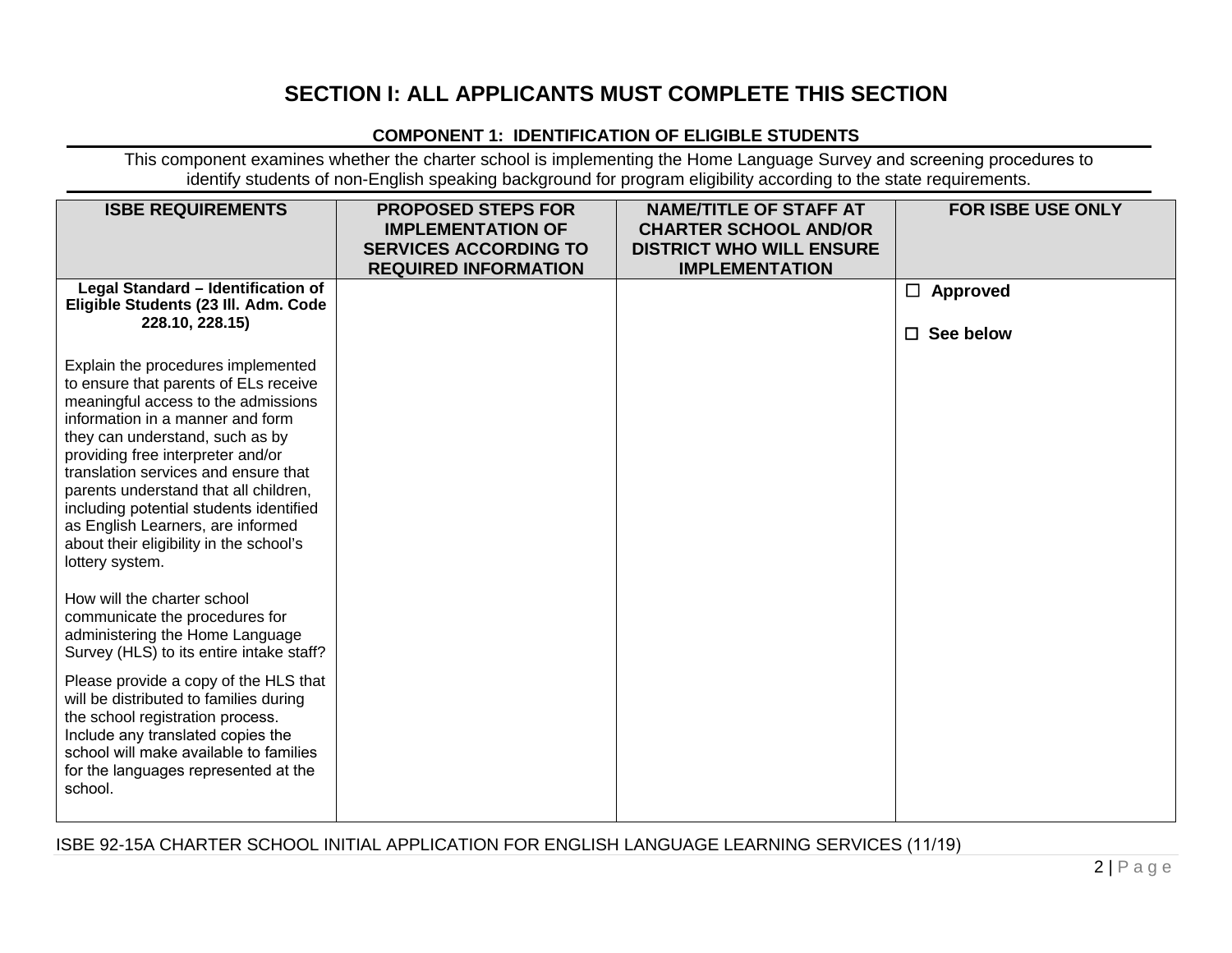# **SECTION I: ALL APPLICANTS MUST COMPLETE THIS SECTION**

### **COMPONENT 1: IDENTIFICATION OF ELIGIBLE STUDENTS**

This component examines whether the charter school is implementing the Home Language Survey and screening procedures to identify students of non-English speaking background for program eligibility according to the state requirements.

| <b>ISBE REQUIREMENTS</b>                                                                                                                                                                                                                                                                                                                                                                                                                                      | <b>PROPOSED STEPS FOR</b><br><b>IMPLEMENTATION OF</b><br><b>SERVICES ACCORDING TO</b><br><b>REQUIRED INFORMATION</b> | <b>NAME/TITLE OF STAFF AT</b><br><b>CHARTER SCHOOL AND/OR</b><br><b>DISTRICT WHO WILL ENSURE</b><br><b>IMPLEMENTATION</b> | <b>FOR ISBE USE ONLY</b>               |
|---------------------------------------------------------------------------------------------------------------------------------------------------------------------------------------------------------------------------------------------------------------------------------------------------------------------------------------------------------------------------------------------------------------------------------------------------------------|----------------------------------------------------------------------------------------------------------------------|---------------------------------------------------------------------------------------------------------------------------|----------------------------------------|
| Legal Standard - Identification of<br>Eligible Students (23 III. Adm. Code<br>228.10, 228.15)                                                                                                                                                                                                                                                                                                                                                                 |                                                                                                                      |                                                                                                                           | $\Box$ Approved<br>See below<br>$\Box$ |
| Explain the procedures implemented<br>to ensure that parents of ELs receive<br>meaningful access to the admissions<br>information in a manner and form<br>they can understand, such as by<br>providing free interpreter and/or<br>translation services and ensure that<br>parents understand that all children,<br>including potential students identified<br>as English Learners, are informed<br>about their eligibility in the school's<br>lottery system. |                                                                                                                      |                                                                                                                           |                                        |
| How will the charter school<br>communicate the procedures for<br>administering the Home Language<br>Survey (HLS) to its entire intake staff?                                                                                                                                                                                                                                                                                                                  |                                                                                                                      |                                                                                                                           |                                        |
| Please provide a copy of the HLS that<br>will be distributed to families during<br>the school registration process.<br>Include any translated copies the<br>school will make available to families<br>for the languages represented at the<br>school.                                                                                                                                                                                                         |                                                                                                                      |                                                                                                                           |                                        |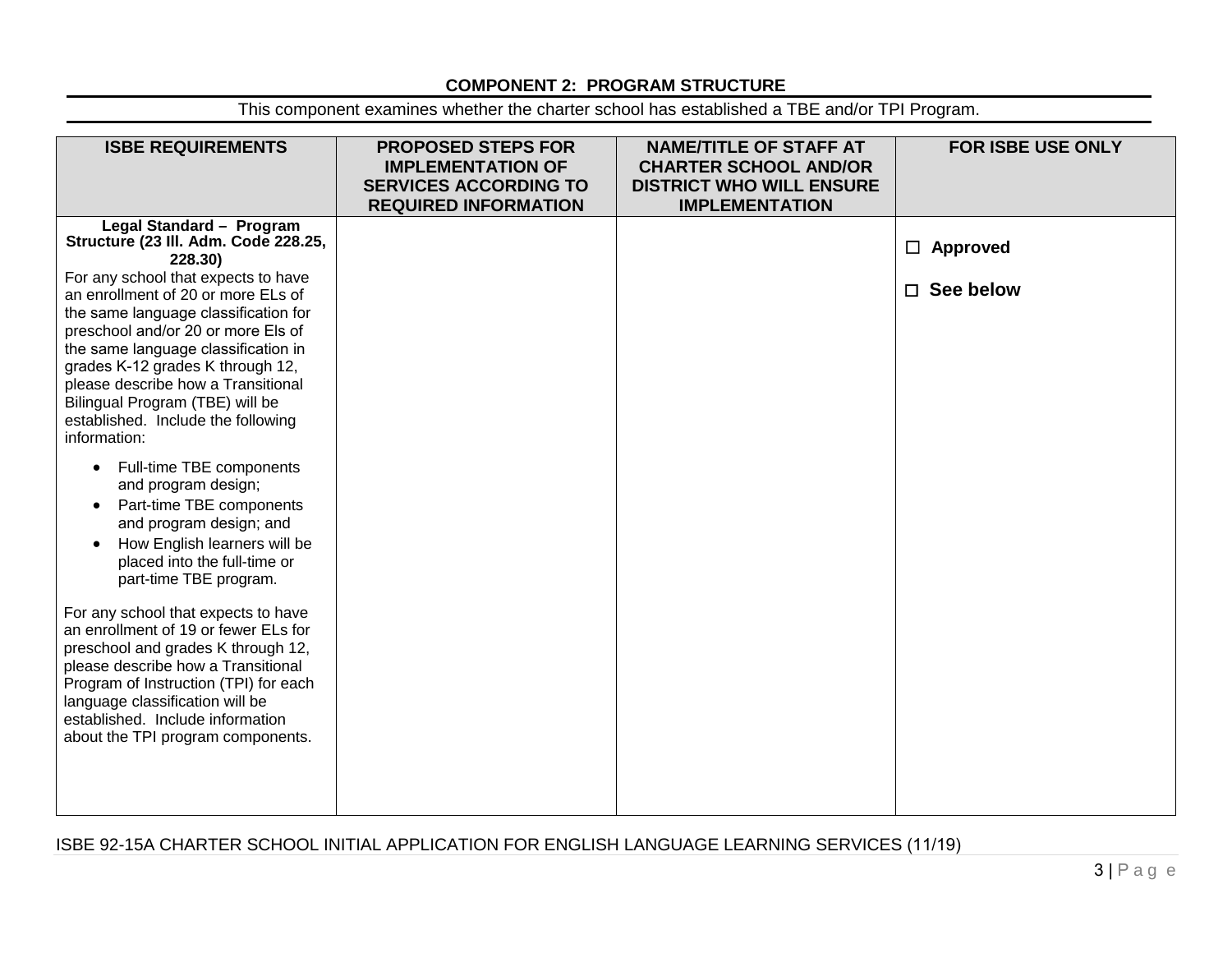# **COMPONENT 2: PROGRAM STRUCTURE**

This component examines whether the charter school has established a TBE and/or TPI Program.

| <b>ISBE REQUIREMENTS</b>              | <b>PROPOSED STEPS FOR</b><br><b>IMPLEMENTATION OF</b><br><b>SERVICES ACCORDING TO</b><br><b>REQUIRED INFORMATION</b> | <b>NAME/TITLE OF STAFF AT</b><br><b>CHARTER SCHOOL AND/OR</b><br><b>DISTRICT WHO WILL ENSURE</b><br><b>IMPLEMENTATION</b> | <b>FOR ISBE USE ONLY</b> |
|---------------------------------------|----------------------------------------------------------------------------------------------------------------------|---------------------------------------------------------------------------------------------------------------------------|--------------------------|
| Legal Standard - Program              |                                                                                                                      |                                                                                                                           |                          |
| Structure (23 III. Adm. Code 228.25,  |                                                                                                                      |                                                                                                                           |                          |
| 228.30)                               |                                                                                                                      |                                                                                                                           | $\Box$ Approved          |
| For any school that expects to have   |                                                                                                                      |                                                                                                                           |                          |
| an enrollment of 20 or more ELs of    |                                                                                                                      |                                                                                                                           | □ See below              |
| the same language classification for  |                                                                                                                      |                                                                                                                           |                          |
| preschool and/or 20 or more Els of    |                                                                                                                      |                                                                                                                           |                          |
|                                       |                                                                                                                      |                                                                                                                           |                          |
| the same language classification in   |                                                                                                                      |                                                                                                                           |                          |
| grades K-12 grades K through 12,      |                                                                                                                      |                                                                                                                           |                          |
| please describe how a Transitional    |                                                                                                                      |                                                                                                                           |                          |
| Bilingual Program (TBE) will be       |                                                                                                                      |                                                                                                                           |                          |
| established. Include the following    |                                                                                                                      |                                                                                                                           |                          |
| information:                          |                                                                                                                      |                                                                                                                           |                          |
|                                       |                                                                                                                      |                                                                                                                           |                          |
| Full-time TBE components<br>$\bullet$ |                                                                                                                      |                                                                                                                           |                          |
| and program design;                   |                                                                                                                      |                                                                                                                           |                          |
| Part-time TBE components              |                                                                                                                      |                                                                                                                           |                          |
| and program design; and               |                                                                                                                      |                                                                                                                           |                          |
| How English learners will be          |                                                                                                                      |                                                                                                                           |                          |
| placed into the full-time or          |                                                                                                                      |                                                                                                                           |                          |
| part-time TBE program.                |                                                                                                                      |                                                                                                                           |                          |
|                                       |                                                                                                                      |                                                                                                                           |                          |
| For any school that expects to have   |                                                                                                                      |                                                                                                                           |                          |
| an enrollment of 19 or fewer ELs for  |                                                                                                                      |                                                                                                                           |                          |
| preschool and grades K through 12,    |                                                                                                                      |                                                                                                                           |                          |
| please describe how a Transitional    |                                                                                                                      |                                                                                                                           |                          |
| Program of Instruction (TPI) for each |                                                                                                                      |                                                                                                                           |                          |
| language classification will be       |                                                                                                                      |                                                                                                                           |                          |
| established. Include information      |                                                                                                                      |                                                                                                                           |                          |
|                                       |                                                                                                                      |                                                                                                                           |                          |
| about the TPI program components.     |                                                                                                                      |                                                                                                                           |                          |
|                                       |                                                                                                                      |                                                                                                                           |                          |
|                                       |                                                                                                                      |                                                                                                                           |                          |
|                                       |                                                                                                                      |                                                                                                                           |                          |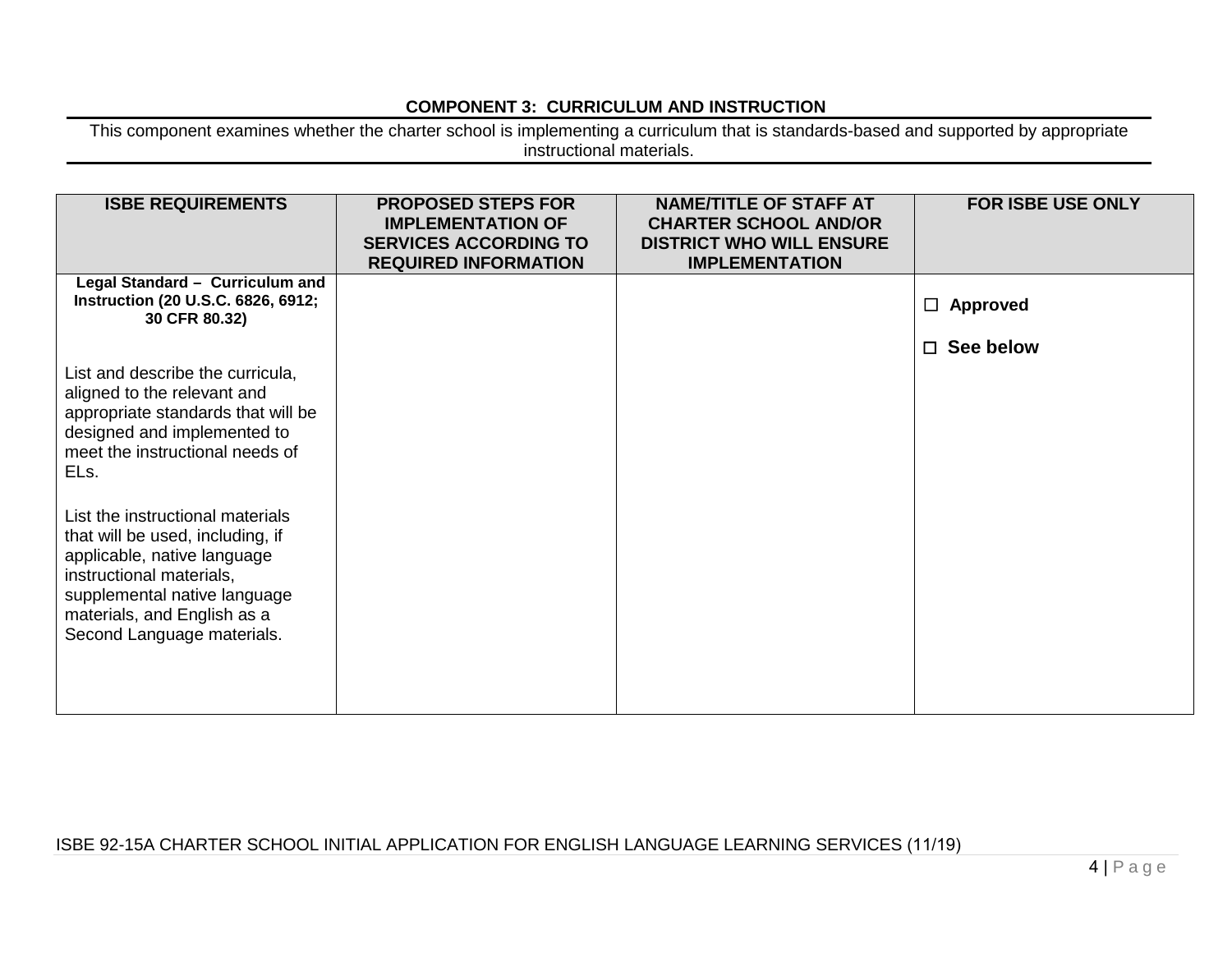## **COMPONENT 3: CURRICULUM AND INSTRUCTION**

This component examines whether the charter school is implementing a curriculum that is standards-based and supported by appropriate instructional materials.

| <b>ISBE REQUIREMENTS</b>                                                                                                                                                                                                                                                                                                                                                                                        | <b>PROPOSED STEPS FOR</b><br><b>IMPLEMENTATION OF</b><br><b>SERVICES ACCORDING TO</b><br><b>REQUIRED INFORMATION</b> | <b>NAME/TITLE OF STAFF AT</b><br><b>CHARTER SCHOOL AND/OR</b><br><b>DISTRICT WHO WILL ENSURE</b><br><b>IMPLEMENTATION</b> | FOR ISBE USE ONLY   |
|-----------------------------------------------------------------------------------------------------------------------------------------------------------------------------------------------------------------------------------------------------------------------------------------------------------------------------------------------------------------------------------------------------------------|----------------------------------------------------------------------------------------------------------------------|---------------------------------------------------------------------------------------------------------------------------|---------------------|
| Legal Standard - Curriculum and<br>Instruction (20 U.S.C. 6826, 6912;<br>30 CFR 80.32)                                                                                                                                                                                                                                                                                                                          |                                                                                                                      |                                                                                                                           | $\Box$ Approved     |
| List and describe the curricula,<br>aligned to the relevant and<br>appropriate standards that will be<br>designed and implemented to<br>meet the instructional needs of<br>ELs.<br>List the instructional materials<br>that will be used, including, if<br>applicable, native language<br>instructional materials,<br>supplemental native language<br>materials, and English as a<br>Second Language materials. |                                                                                                                      |                                                                                                                           | See below<br>$\Box$ |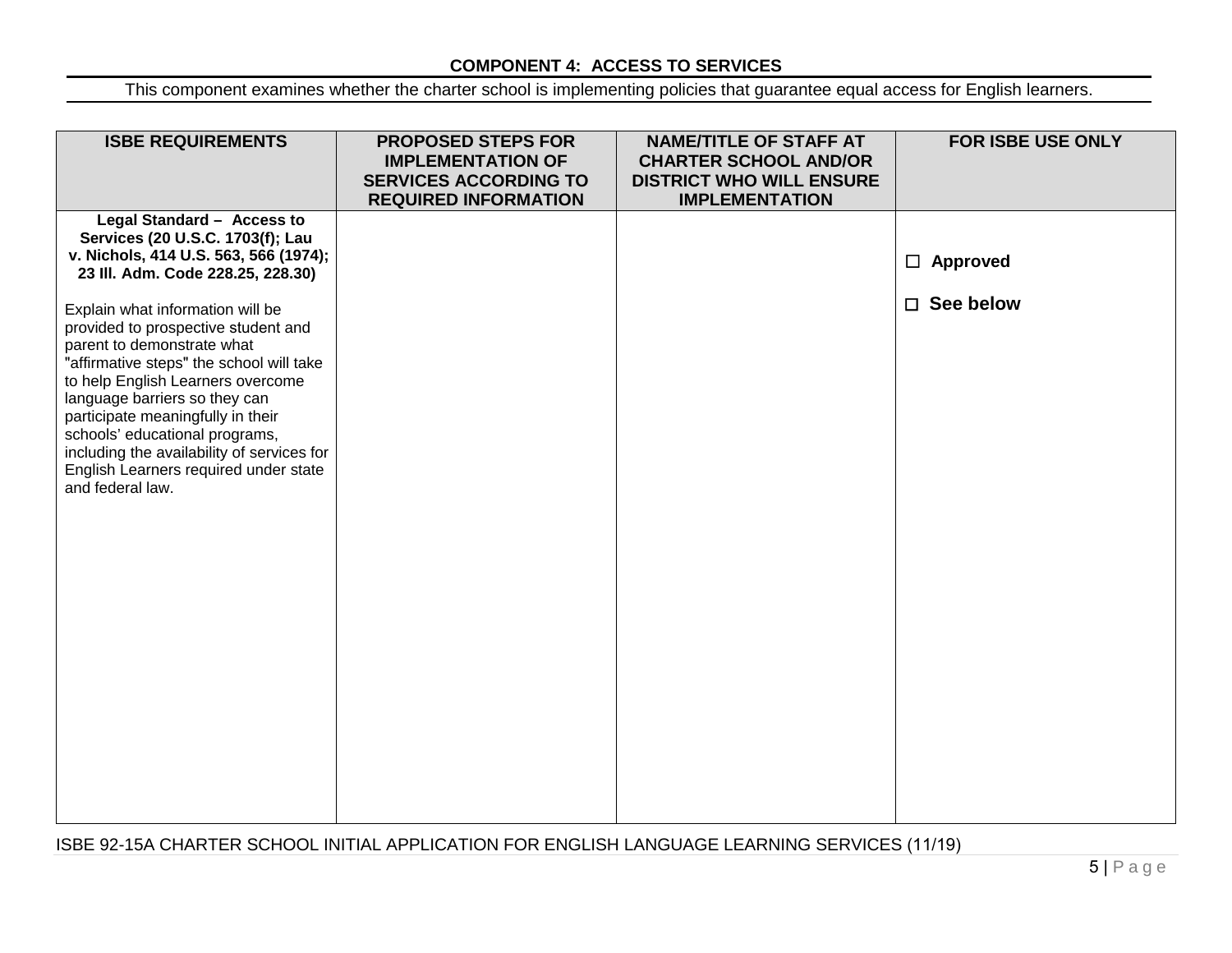# **COMPONENT 4: ACCESS TO SERVICES**

This component examines whether the charter school is implementing policies that guarantee equal access for English learners.

| <b>ISBE REQUIREMENTS</b>                                                                                                                                                                                                                                                                                   | <b>PROPOSED STEPS FOR</b><br><b>IMPLEMENTATION OF</b><br><b>SERVICES ACCORDING TO</b><br><b>REQUIRED INFORMATION</b> | <b>NAME/TITLE OF STAFF AT</b><br><b>CHARTER SCHOOL AND/OR</b><br><b>DISTRICT WHO WILL ENSURE</b><br><b>IMPLEMENTATION</b> | <b>FOR ISBE USE ONLY</b>               |
|------------------------------------------------------------------------------------------------------------------------------------------------------------------------------------------------------------------------------------------------------------------------------------------------------------|----------------------------------------------------------------------------------------------------------------------|---------------------------------------------------------------------------------------------------------------------------|----------------------------------------|
| Legal Standard - Access to<br>Services (20 U.S.C. 1703(f); Lau<br>v. Nichols, 414 U.S. 563, 566 (1974);<br>23 III. Adm. Code 228.25, 228.30)<br>Explain what information will be<br>provided to prospective student and                                                                                    |                                                                                                                      |                                                                                                                           | $\Box$ Approved<br>$\square$ See below |
| parent to demonstrate what<br>"affirmative steps" the school will take<br>to help English Learners overcome<br>language barriers so they can<br>participate meaningfully in their<br>schools' educational programs,<br>including the availability of services for<br>English Learners required under state |                                                                                                                      |                                                                                                                           |                                        |
| and federal law.                                                                                                                                                                                                                                                                                           |                                                                                                                      |                                                                                                                           |                                        |
|                                                                                                                                                                                                                                                                                                            |                                                                                                                      |                                                                                                                           |                                        |
|                                                                                                                                                                                                                                                                                                            |                                                                                                                      |                                                                                                                           |                                        |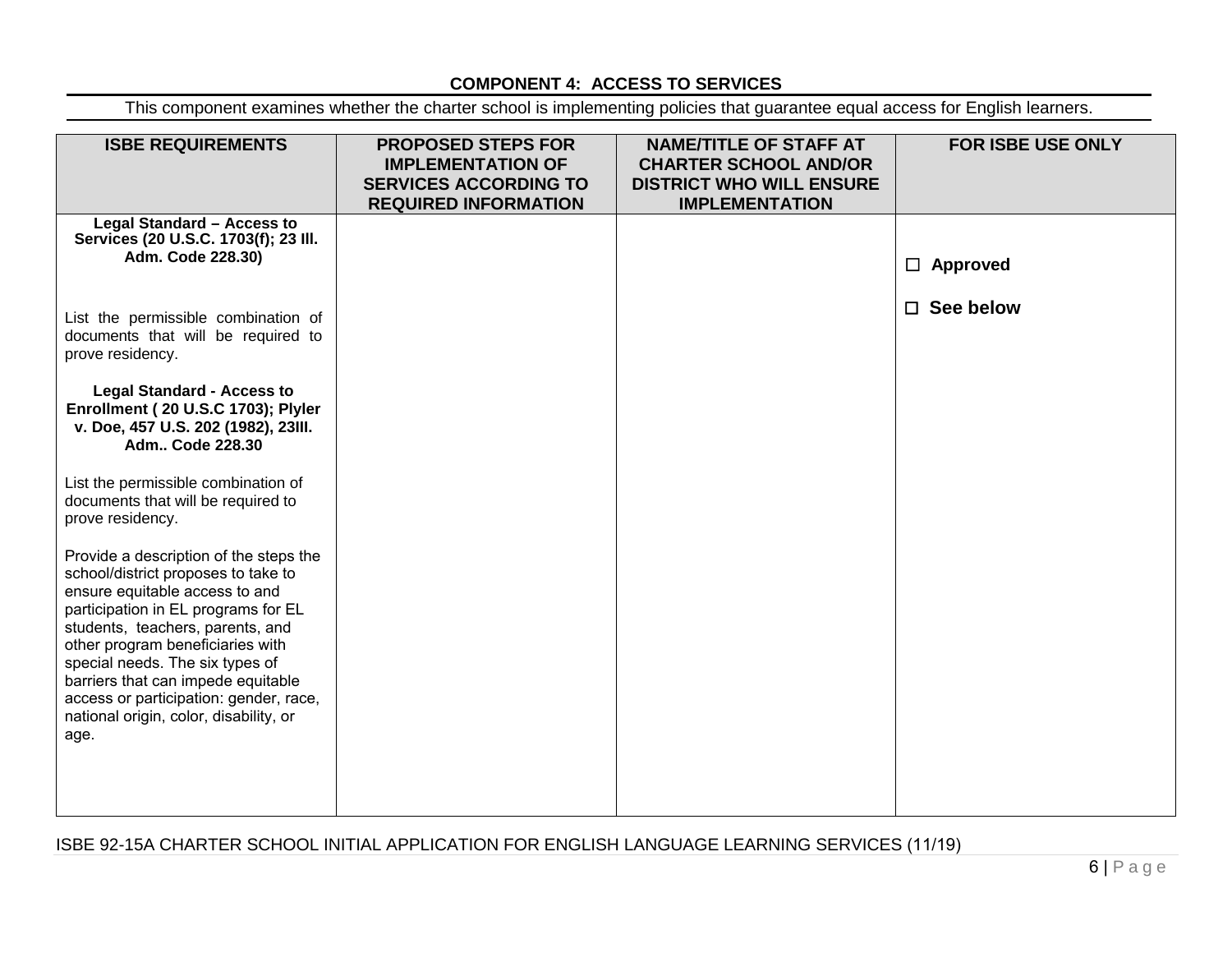# **COMPONENT 4: ACCESS TO SERVICES**

This component examines whether the charter school is implementing policies that guarantee equal access for English learners.

| <b>ISBE REQUIREMENTS</b>                                                                                                                                                                                                                                                                                                                                                                            | <b>PROPOSED STEPS FOR</b><br><b>IMPLEMENTATION OF</b><br><b>SERVICES ACCORDING TO</b><br><b>REQUIRED INFORMATION</b> | <b>NAME/TITLE OF STAFF AT</b><br><b>CHARTER SCHOOL AND/OR</b><br><b>DISTRICT WHO WILL ENSURE</b><br><b>IMPLEMENTATION</b> | <b>FOR ISBE USE ONLY</b> |
|-----------------------------------------------------------------------------------------------------------------------------------------------------------------------------------------------------------------------------------------------------------------------------------------------------------------------------------------------------------------------------------------------------|----------------------------------------------------------------------------------------------------------------------|---------------------------------------------------------------------------------------------------------------------------|--------------------------|
| Legal Standard - Access to<br>Services (20 U.S.C. 1703(f); 23 III.<br>Adm. Code 228.30)                                                                                                                                                                                                                                                                                                             |                                                                                                                      |                                                                                                                           | $\Box$ Approved          |
| List the permissible combination of<br>documents that will be required to<br>prove residency.                                                                                                                                                                                                                                                                                                       |                                                                                                                      |                                                                                                                           | $\Box$ See below         |
| <b>Legal Standard - Access to</b><br>Enrollment (20 U.S.C 1703); Plyler<br>v. Doe, 457 U.S. 202 (1982), 23III.<br>Adm Code 228.30                                                                                                                                                                                                                                                                   |                                                                                                                      |                                                                                                                           |                          |
| List the permissible combination of<br>documents that will be required to<br>prove residency.                                                                                                                                                                                                                                                                                                       |                                                                                                                      |                                                                                                                           |                          |
| Provide a description of the steps the<br>school/district proposes to take to<br>ensure equitable access to and<br>participation in EL programs for EL<br>students, teachers, parents, and<br>other program beneficiaries with<br>special needs. The six types of<br>barriers that can impede equitable<br>access or participation: gender, race,<br>national origin, color, disability, or<br>age. |                                                                                                                      |                                                                                                                           |                          |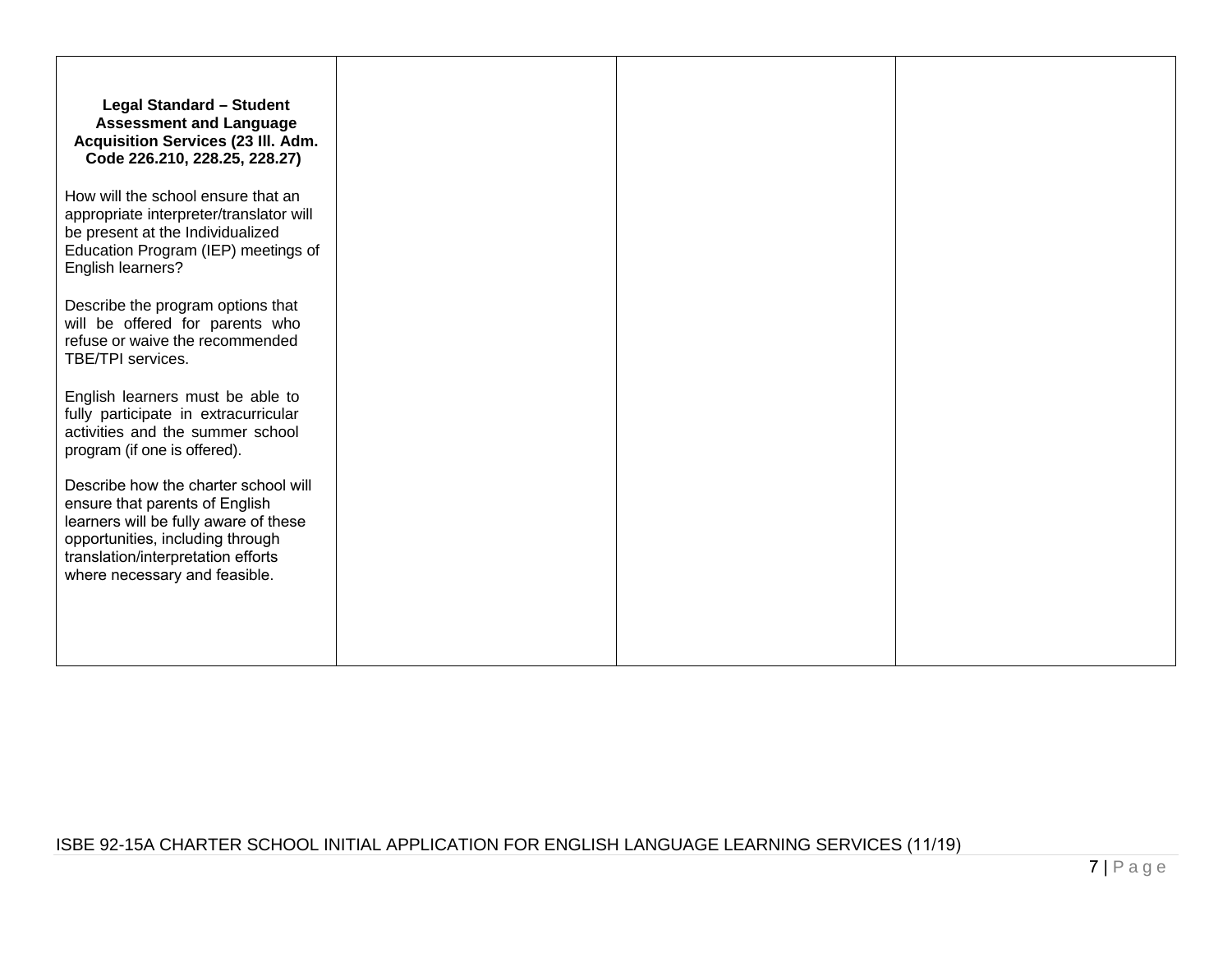| <b>Legal Standard - Student</b><br><b>Assessment and Language</b><br><b>Acquisition Services (23 III. Adm.</b><br>Code 226.210, 228.25, 228.27)                                                                            |  |
|----------------------------------------------------------------------------------------------------------------------------------------------------------------------------------------------------------------------------|--|
| How will the school ensure that an<br>appropriate interpreter/translator will<br>be present at the Individualized<br>Education Program (IEP) meetings of<br>English learners?                                              |  |
| Describe the program options that<br>will be offered for parents who<br>refuse or waive the recommended<br>TBE/TPI services.                                                                                               |  |
| English learners must be able to<br>fully participate in extracurricular<br>activities and the summer school<br>program (if one is offered).                                                                               |  |
| Describe how the charter school will<br>ensure that parents of English<br>learners will be fully aware of these<br>opportunities, including through<br>translation/interpretation efforts<br>where necessary and feasible. |  |
|                                                                                                                                                                                                                            |  |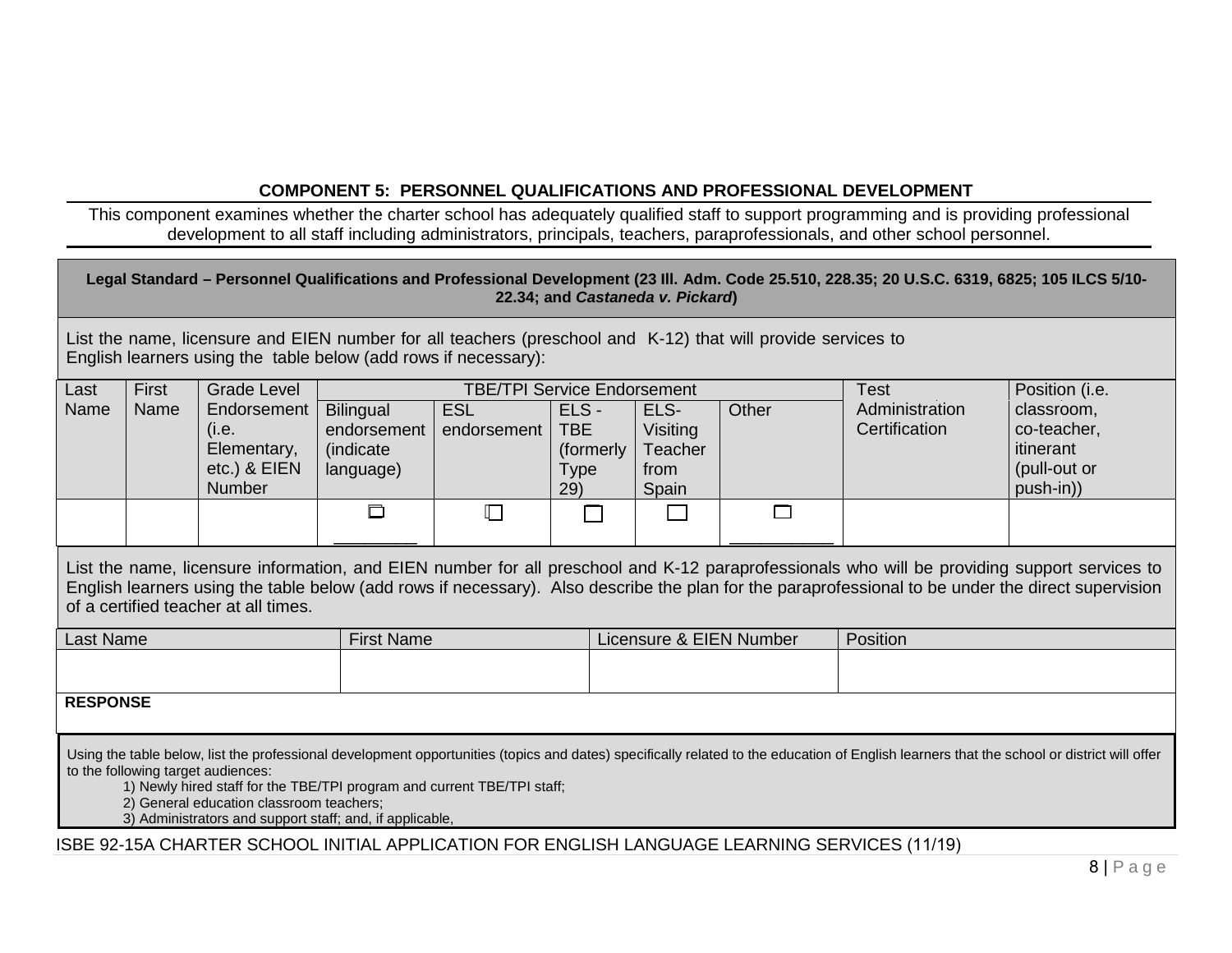# **COMPONENT 5: PERSONNEL QUALIFICATIONS AND PROFESSIONAL DEVELOPMENT**

This component examines whether the charter school has adequately qualified staff to support programming and is providing professional development to all staff including administrators, principals, teachers, paraprofessionals, and other school personnel.

| Legal Standard - Personnel Qualifications and Professional Development (23 III. Adm. Code 25.510, 228.35; 20 U.S.C. 6319, 6825; 105 ILCS 5/10-<br>22.34; and Castaneda v. Pickard)                                                                                                                                                                                                                                  |                                                                                                                                                                                 |                                                               |                                                            |                                    |                                                        |                                                     |       |                                                                                               |                                                                                                                                                                                                                                                                                                    |
|---------------------------------------------------------------------------------------------------------------------------------------------------------------------------------------------------------------------------------------------------------------------------------------------------------------------------------------------------------------------------------------------------------------------|---------------------------------------------------------------------------------------------------------------------------------------------------------------------------------|---------------------------------------------------------------|------------------------------------------------------------|------------------------------------|--------------------------------------------------------|-----------------------------------------------------|-------|-----------------------------------------------------------------------------------------------|----------------------------------------------------------------------------------------------------------------------------------------------------------------------------------------------------------------------------------------------------------------------------------------------------|
|                                                                                                                                                                                                                                                                                                                                                                                                                     | List the name, licensure and EIEN number for all teachers (preschool and K-12) that will provide services to<br>English learners using the table below (add rows if necessary): |                                                               |                                                            |                                    |                                                        |                                                     |       |                                                                                               |                                                                                                                                                                                                                                                                                                    |
| Last                                                                                                                                                                                                                                                                                                                                                                                                                | First                                                                                                                                                                           | <b>Grade Level</b>                                            |                                                            | <b>TBE/TPI Service Endorsement</b> |                                                        |                                                     |       | Test                                                                                          | Position (i.e.                                                                                                                                                                                                                                                                                     |
| Name                                                                                                                                                                                                                                                                                                                                                                                                                | Name                                                                                                                                                                            | Endorsement<br>(i.e.<br>Elementary,<br>etc.) & EIEN<br>Number | <b>Bilingual</b><br>endorsement<br>(indicate)<br>language) | <b>ESL</b><br>endorsement          | ELS-<br><b>TBE</b><br>(formerly)<br><b>Type</b><br>29) | ELS-<br>Visiting<br><b>Teacher</b><br>from<br>Spain | Other | Administration<br>Certification                                                               | classroom,<br>co-teacher,<br>itinerant<br>(pull-out or<br>push-in))                                                                                                                                                                                                                                |
|                                                                                                                                                                                                                                                                                                                                                                                                                     |                                                                                                                                                                                 |                                                               | $\Box$                                                     | $\Box$                             |                                                        |                                                     | П     |                                                                                               |                                                                                                                                                                                                                                                                                                    |
|                                                                                                                                                                                                                                                                                                                                                                                                                     |                                                                                                                                                                                 | of a certified teacher at all times.                          |                                                            |                                    |                                                        |                                                     |       |                                                                                               | List the name, licensure information, and EIEN number for all preschool and K-12 paraprofessionals who will be providing support services to<br>English learners using the table below (add rows if necessary). Also describe the plan for the paraprofessional to be under the direct supervision |
| <b>Last Name</b>                                                                                                                                                                                                                                                                                                                                                                                                    |                                                                                                                                                                                 |                                                               | <b>First Name</b>                                          |                                    |                                                        | Licensure & EIEN Number                             |       | Position                                                                                      |                                                                                                                                                                                                                                                                                                    |
|                                                                                                                                                                                                                                                                                                                                                                                                                     |                                                                                                                                                                                 |                                                               |                                                            |                                    |                                                        |                                                     |       |                                                                                               |                                                                                                                                                                                                                                                                                                    |
|                                                                                                                                                                                                                                                                                                                                                                                                                     | <b>RESPONSE</b>                                                                                                                                                                 |                                                               |                                                            |                                    |                                                        |                                                     |       |                                                                                               |                                                                                                                                                                                                                                                                                                    |
| Using the table below, list the professional development opportunities (topics and dates) specifically related to the education of English learners that the school or district will offer<br>to the following target audiences:<br>1) Newly hired staff for the TBE/TPI program and current TBE/TPI staff;<br>2) General education classroom teachers;<br>3) Administrators and support staff; and, if applicable, |                                                                                                                                                                                 |                                                               |                                                            |                                    |                                                        |                                                     |       |                                                                                               |                                                                                                                                                                                                                                                                                                    |
|                                                                                                                                                                                                                                                                                                                                                                                                                     |                                                                                                                                                                                 |                                                               |                                                            |                                    |                                                        |                                                     |       | ISBE 92-15A CHARTER SCHOOL INITIAL APPLICATION FOR ENGLISH LANGUAGE LEARNING SERVICES (11/19) |                                                                                                                                                                                                                                                                                                    |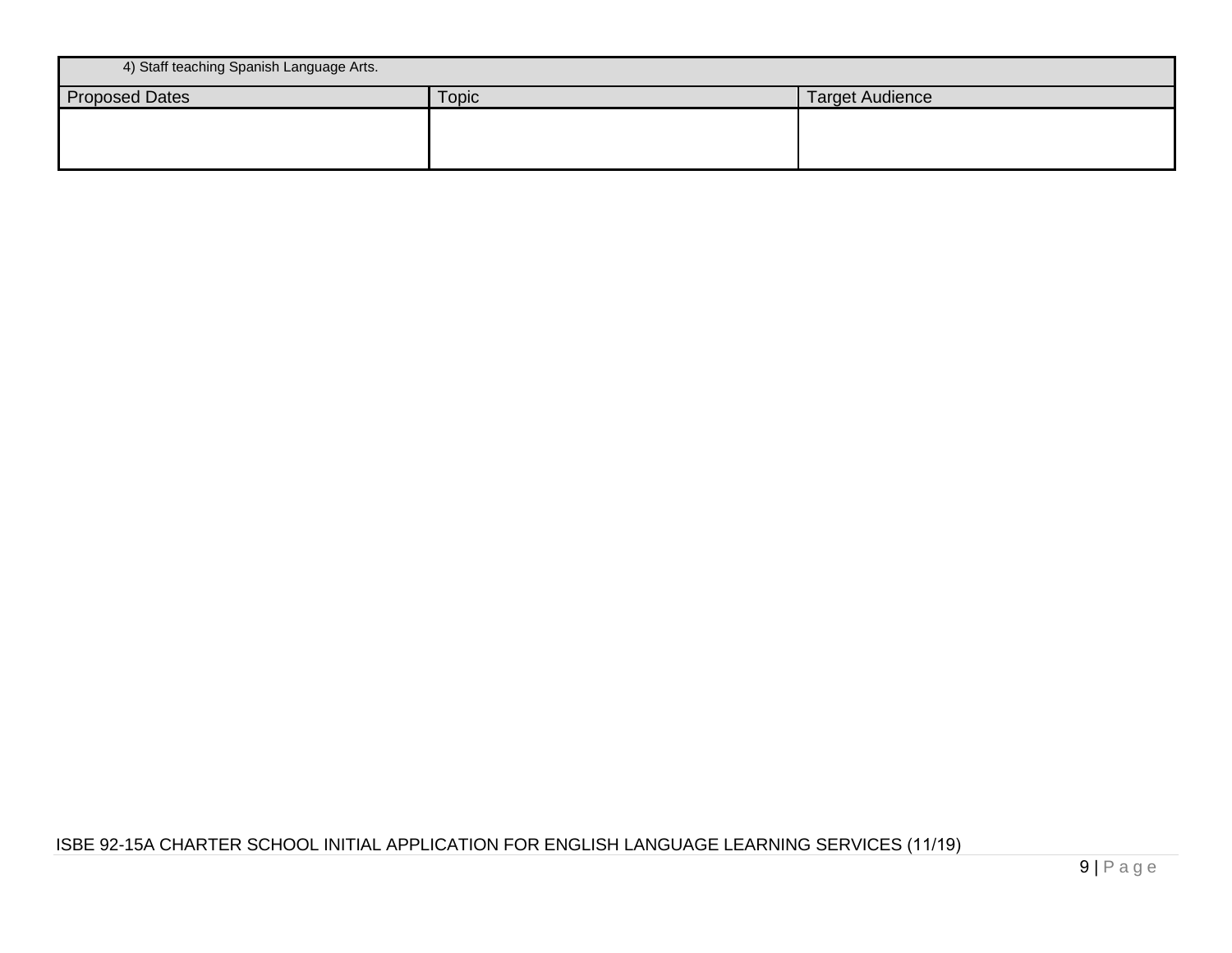| 4) Staff teaching Spanish Language Arts. |              |                        |  |  |  |  |
|------------------------------------------|--------------|------------------------|--|--|--|--|
| <b>Proposed Dates</b>                    | <b>Topic</b> | <b>Target Audience</b> |  |  |  |  |
|                                          |              |                        |  |  |  |  |
|                                          |              |                        |  |  |  |  |
|                                          |              |                        |  |  |  |  |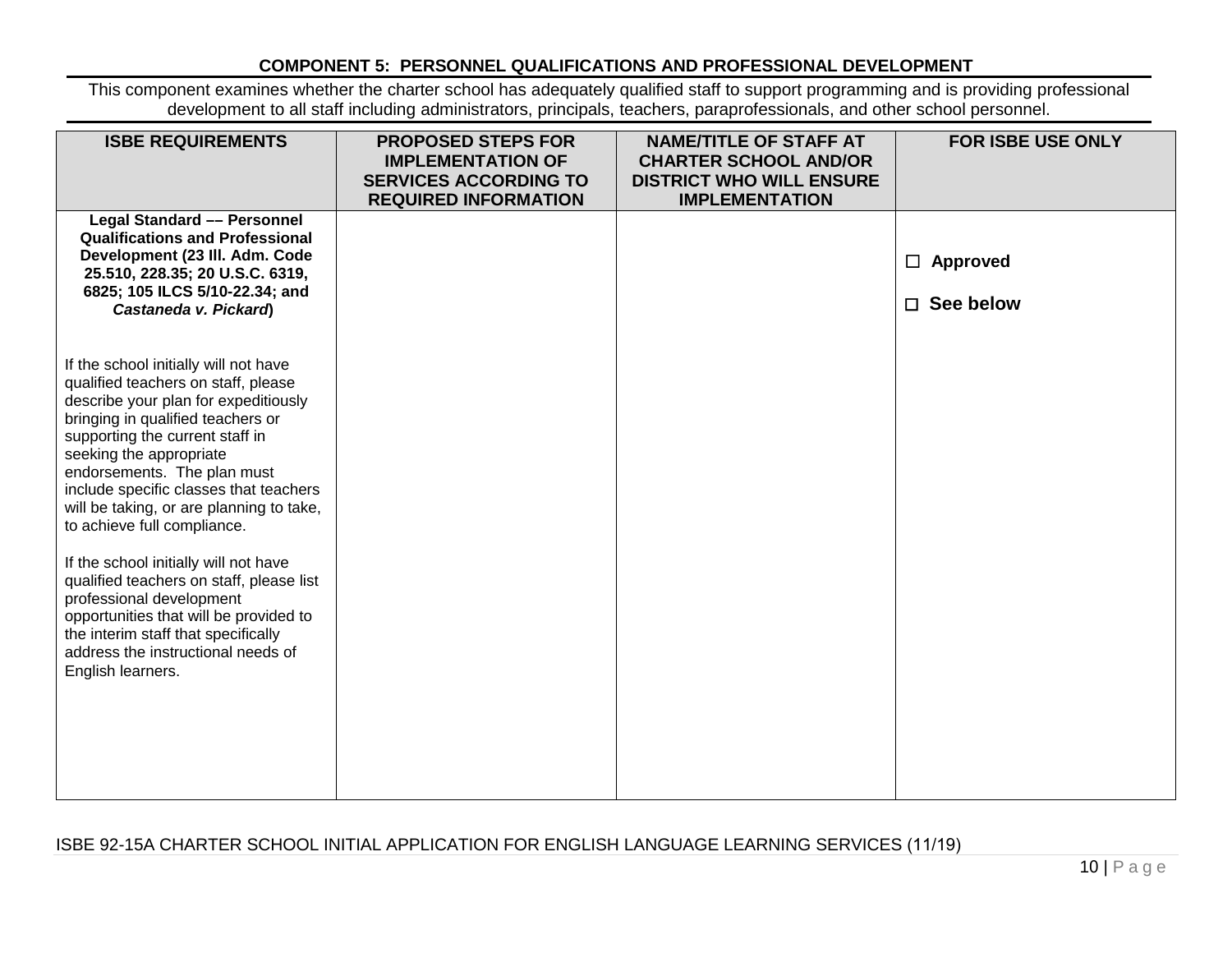## **COMPONENT 5: PERSONNEL QUALIFICATIONS AND PROFESSIONAL DEVELOPMENT**

This component examines whether the charter school has adequately qualified staff to support programming and is providing professional development to all staff including administrators, principals, teachers, paraprofessionals, and other school personnel.

| <b>ISBE REQUIREMENTS</b>                                                                                                                                                                                                                                                                                                                                                                                                                                                                                                                                                                                                                 | <b>PROPOSED STEPS FOR</b><br><b>IMPLEMENTATION OF</b><br><b>SERVICES ACCORDING TO</b><br><b>REQUIRED INFORMATION</b> | <b>NAME/TITLE OF STAFF AT</b><br><b>CHARTER SCHOOL AND/OR</b><br><b>DISTRICT WHO WILL ENSURE</b><br><b>IMPLEMENTATION</b> | FOR ISBE USE ONLY                   |
|------------------------------------------------------------------------------------------------------------------------------------------------------------------------------------------------------------------------------------------------------------------------------------------------------------------------------------------------------------------------------------------------------------------------------------------------------------------------------------------------------------------------------------------------------------------------------------------------------------------------------------------|----------------------------------------------------------------------------------------------------------------------|---------------------------------------------------------------------------------------------------------------------------|-------------------------------------|
| <b>Legal Standard - Personnel</b><br><b>Qualifications and Professional</b><br>Development (23 III. Adm. Code<br>25.510, 228.35; 20 U.S.C. 6319,<br>6825; 105 ILCS 5/10-22.34; and<br>Castaneda v. Pickard)                                                                                                                                                                                                                                                                                                                                                                                                                              |                                                                                                                      |                                                                                                                           | $\Box$ Approved<br>$\Box$ See below |
| If the school initially will not have<br>qualified teachers on staff, please<br>describe your plan for expeditiously<br>bringing in qualified teachers or<br>supporting the current staff in<br>seeking the appropriate<br>endorsements. The plan must<br>include specific classes that teachers<br>will be taking, or are planning to take,<br>to achieve full compliance.<br>If the school initially will not have<br>qualified teachers on staff, please list<br>professional development<br>opportunities that will be provided to<br>the interim staff that specifically<br>address the instructional needs of<br>English learners. |                                                                                                                      |                                                                                                                           |                                     |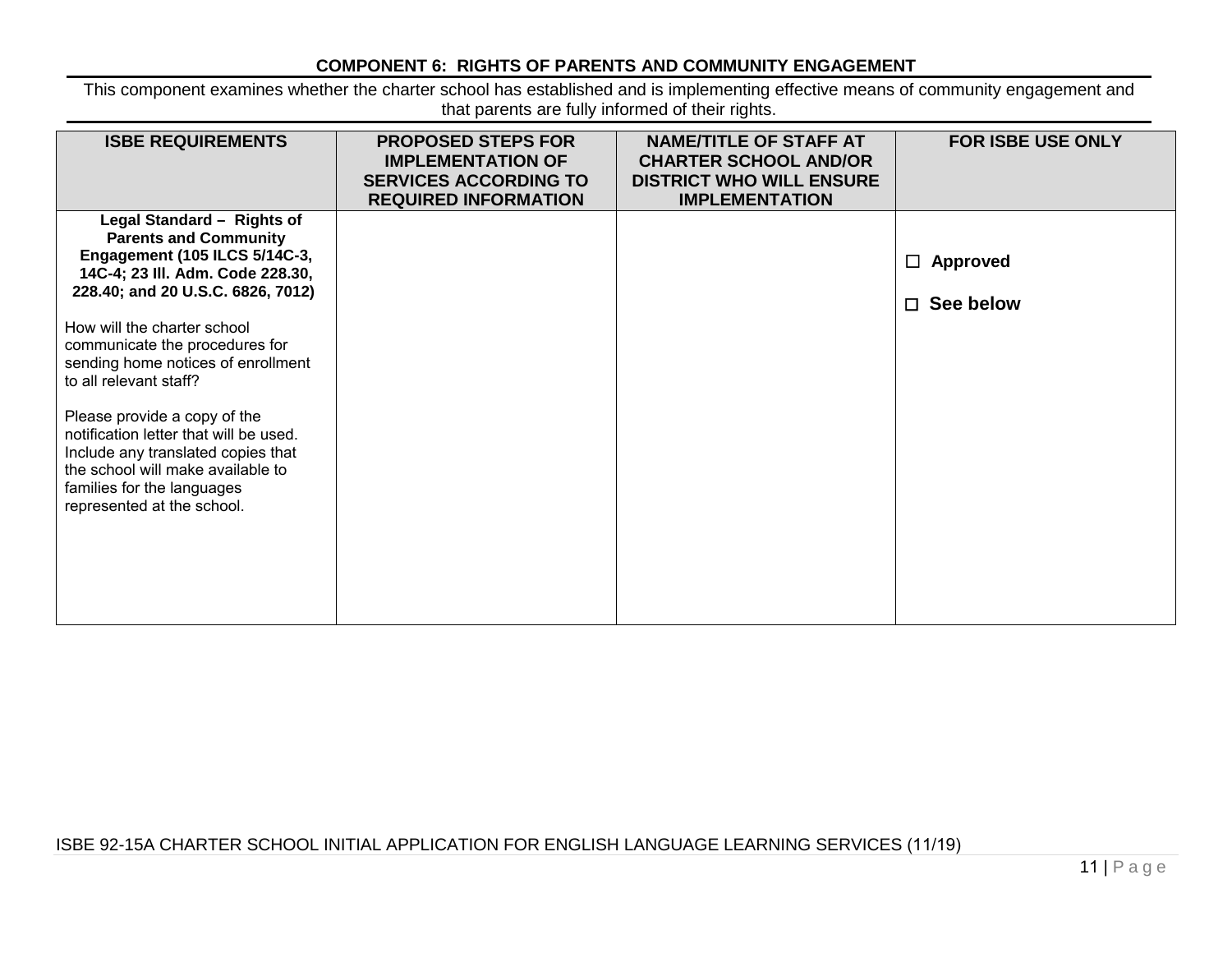# **COMPONENT 6: RIGHTS OF PARENTS AND COMMUNITY ENGAGEMENT**

This component examines whether the charter school has established and is implementing effective means of community engagement and that parents are fully informed of their rights.

| <b>ISBE REQUIREMENTS</b>                                                                                                                                                                                      | <b>PROPOSED STEPS FOR</b><br><b>IMPLEMENTATION OF</b><br><b>SERVICES ACCORDING TO</b><br><b>REQUIRED INFORMATION</b> | <b>NAME/TITLE OF STAFF AT</b><br><b>CHARTER SCHOOL AND/OR</b><br><b>DISTRICT WHO WILL ENSURE</b><br><b>IMPLEMENTATION</b> | <b>FOR ISBE USE ONLY</b> |
|---------------------------------------------------------------------------------------------------------------------------------------------------------------------------------------------------------------|----------------------------------------------------------------------------------------------------------------------|---------------------------------------------------------------------------------------------------------------------------|--------------------------|
| Legal Standard - Rights of<br><b>Parents and Community</b><br>Engagement (105 ILCS 5/14C-3,<br>14C-4; 23 III. Adm. Code 228.30,                                                                               |                                                                                                                      |                                                                                                                           | Approved<br>$\Box$       |
| 228.40; and 20 U.S.C. 6826, 7012)                                                                                                                                                                             |                                                                                                                      |                                                                                                                           | See below<br>$\Box$      |
| How will the charter school<br>communicate the procedures for<br>sending home notices of enrollment<br>to all relevant staff?                                                                                 |                                                                                                                      |                                                                                                                           |                          |
| Please provide a copy of the<br>notification letter that will be used.<br>Include any translated copies that<br>the school will make available to<br>families for the languages<br>represented at the school. |                                                                                                                      |                                                                                                                           |                          |
|                                                                                                                                                                                                               |                                                                                                                      |                                                                                                                           |                          |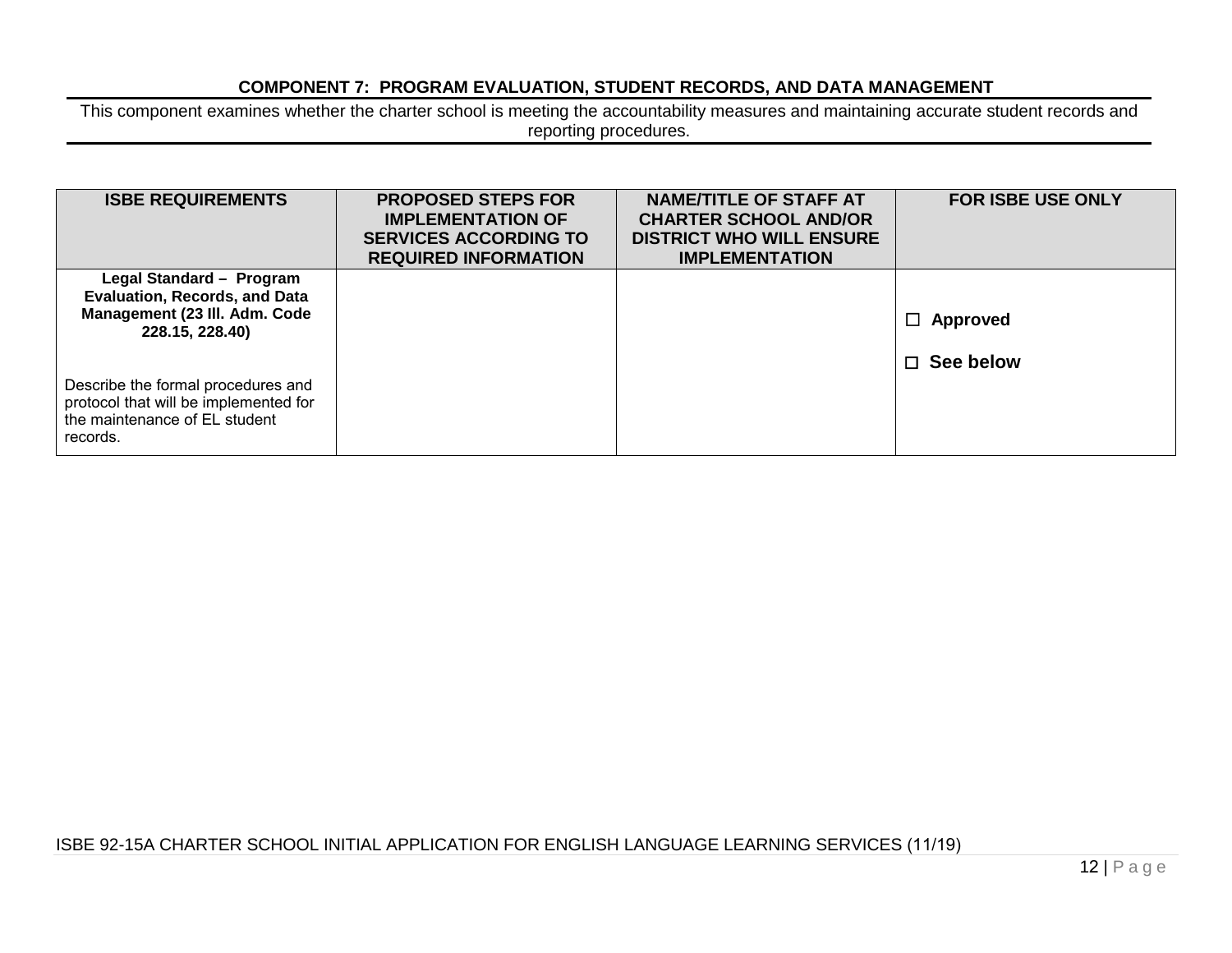### **COMPONENT 7: PROGRAM EVALUATION, STUDENT RECORDS, AND DATA MANAGEMENT**

This component examines whether the charter school is meeting the accountability measures and maintaining accurate student records and reporting procedures.

| <b>ISBE REQUIREMENTS</b>                                                                                                 | <b>PROPOSED STEPS FOR</b><br><b>IMPLEMENTATION OF</b><br><b>SERVICES ACCORDING TO</b><br><b>REQUIRED INFORMATION</b> | <b>NAME/TITLE OF STAFF AT</b><br><b>CHARTER SCHOOL AND/OR</b><br><b>DISTRICT WHO WILL ENSURE</b><br><b>IMPLEMENTATION</b> | <b>FOR ISBE USE ONLY</b>               |
|--------------------------------------------------------------------------------------------------------------------------|----------------------------------------------------------------------------------------------------------------------|---------------------------------------------------------------------------------------------------------------------------|----------------------------------------|
| Legal Standard - Program<br><b>Evaluation, Records, and Data</b><br>Management (23 III. Adm. Code<br>228.15, 228.40)     |                                                                                                                      |                                                                                                                           | Approved<br>$\Box$<br>$\Box$ See below |
| Describe the formal procedures and<br>protocol that will be implemented for<br>the maintenance of EL student<br>records. |                                                                                                                      |                                                                                                                           |                                        |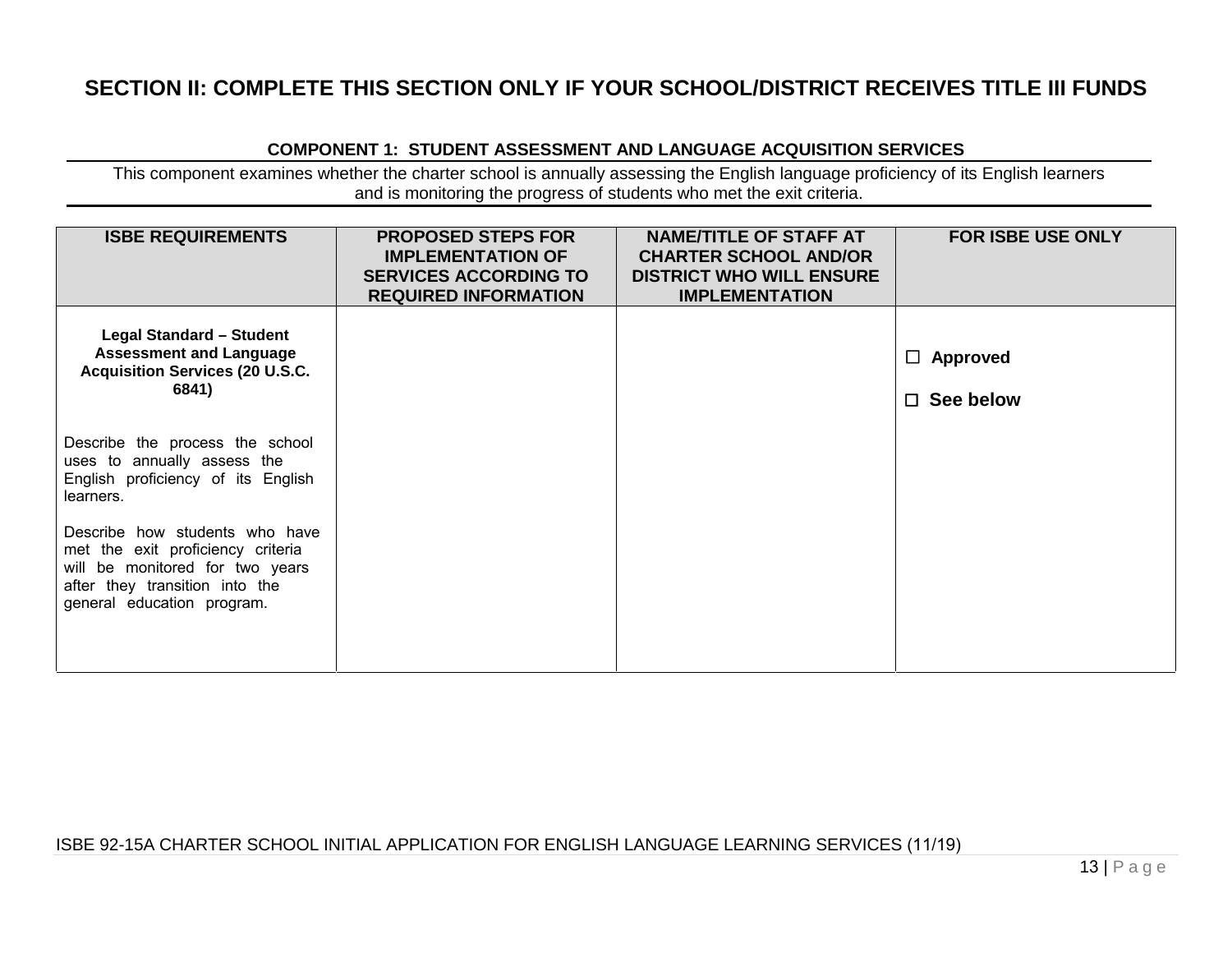# **SECTION II: COMPLETE THIS SECTION ONLY IF YOUR SCHOOL/DISTRICT RECEIVES TITLE III FUNDS**

#### **COMPONENT 1: STUDENT ASSESSMENT AND LANGUAGE ACQUISITION SERVICES**

This component examines whether the charter school is annually assessing the English language proficiency of its English learners and is monitoring the progress of students who met the exit criteria.

| <b>ISBE REQUIREMENTS</b>                                                                                                                                               | <b>PROPOSED STEPS FOR</b><br><b>IMPLEMENTATION OF</b><br><b>SERVICES ACCORDING TO</b><br><b>REQUIRED INFORMATION</b> | <b>NAME/TITLE OF STAFF AT</b><br><b>CHARTER SCHOOL AND/OR</b><br><b>DISTRICT WHO WILL ENSURE</b><br><b>IMPLEMENTATION</b> | <b>FOR ISBE USE ONLY</b>            |
|------------------------------------------------------------------------------------------------------------------------------------------------------------------------|----------------------------------------------------------------------------------------------------------------------|---------------------------------------------------------------------------------------------------------------------------|-------------------------------------|
| <b>Legal Standard - Student</b><br><b>Assessment and Language</b><br><b>Acquisition Services (20 U.S.C.</b><br>6841)                                                   |                                                                                                                      |                                                                                                                           | $\Box$ Approved<br>$\Box$ See below |
| Describe the process the school<br>uses to annually assess the<br>English proficiency of its English<br>learners.                                                      |                                                                                                                      |                                                                                                                           |                                     |
| Describe how students who have<br>met the exit proficiency criteria<br>will be monitored for two years<br>after they transition into the<br>general education program. |                                                                                                                      |                                                                                                                           |                                     |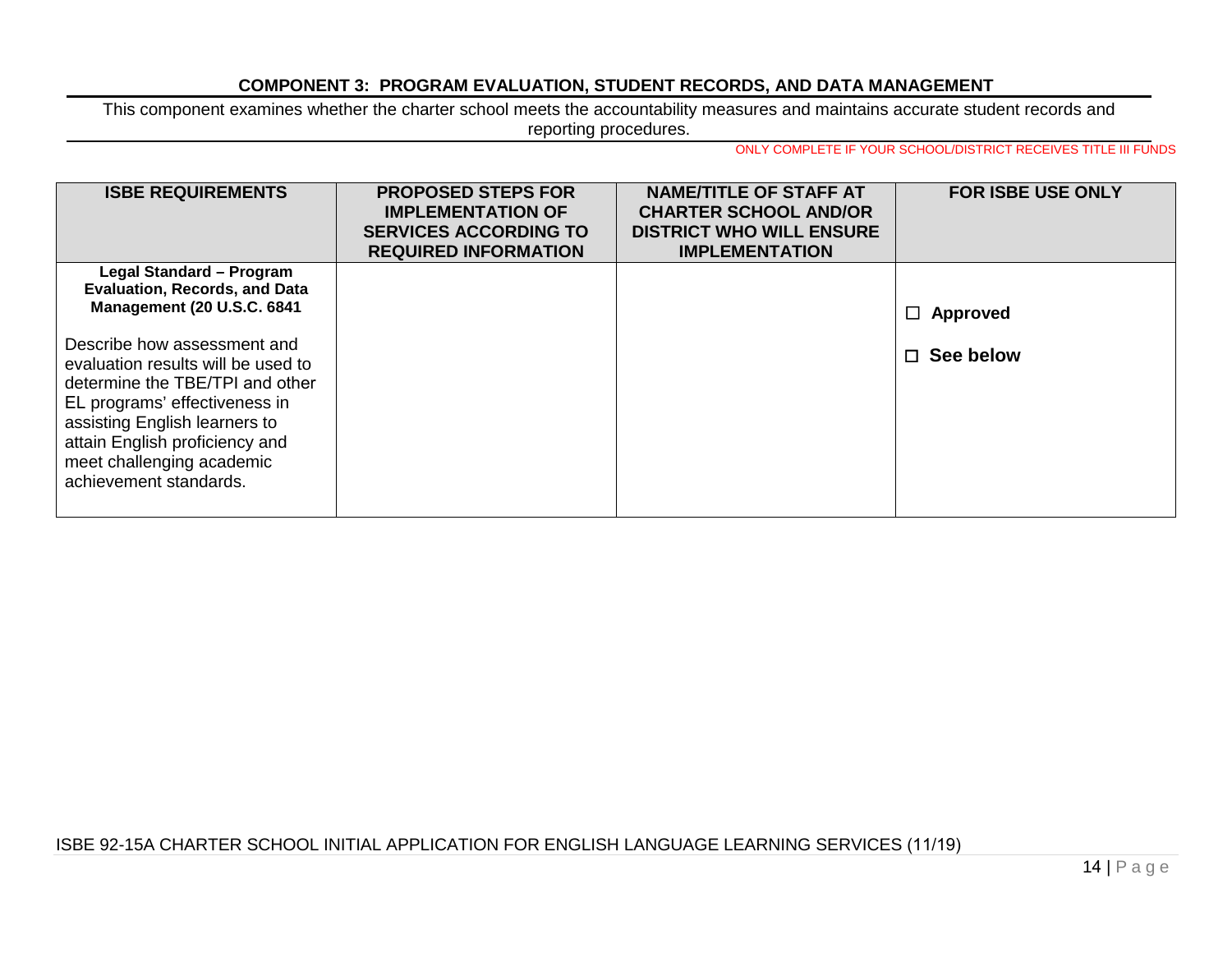## **COMPONENT 3: PROGRAM EVALUATION, STUDENT RECORDS, AND DATA MANAGEMENT**

This component examines whether the charter school meets the accountability measures and maintains accurate student records and reporting procedures.

ONLY COMPLETE IF YOUR SCHOOL/DISTRICT RECEIVES TITLE III FUNDS

| <b>ISBE REQUIREMENTS</b>             | <b>PROPOSED STEPS FOR</b><br><b>IMPLEMENTATION OF</b><br><b>SERVICES ACCORDING TO</b><br><b>REQUIRED INFORMATION</b> | <b>NAME/TITLE OF STAFF AT</b><br><b>CHARTER SCHOOL AND/OR</b><br><b>DISTRICT WHO WILL ENSURE</b><br><b>IMPLEMENTATION</b> | <b>FOR ISBE USE ONLY</b> |
|--------------------------------------|----------------------------------------------------------------------------------------------------------------------|---------------------------------------------------------------------------------------------------------------------------|--------------------------|
| Legal Standard - Program             |                                                                                                                      |                                                                                                                           |                          |
| <b>Evaluation, Records, and Data</b> |                                                                                                                      |                                                                                                                           |                          |
| <b>Management (20 U.S.C. 6841)</b>   |                                                                                                                      |                                                                                                                           | $\Box$ Approved          |
| Describe how assessment and          |                                                                                                                      |                                                                                                                           | $\Box$ See below         |
| evaluation results will be used to   |                                                                                                                      |                                                                                                                           |                          |
| determine the TBE/TPI and other      |                                                                                                                      |                                                                                                                           |                          |
| EL programs' effectiveness in        |                                                                                                                      |                                                                                                                           |                          |
| assisting English learners to        |                                                                                                                      |                                                                                                                           |                          |
| attain English proficiency and       |                                                                                                                      |                                                                                                                           |                          |
| meet challenging academic            |                                                                                                                      |                                                                                                                           |                          |
| achievement standards.               |                                                                                                                      |                                                                                                                           |                          |
|                                      |                                                                                                                      |                                                                                                                           |                          |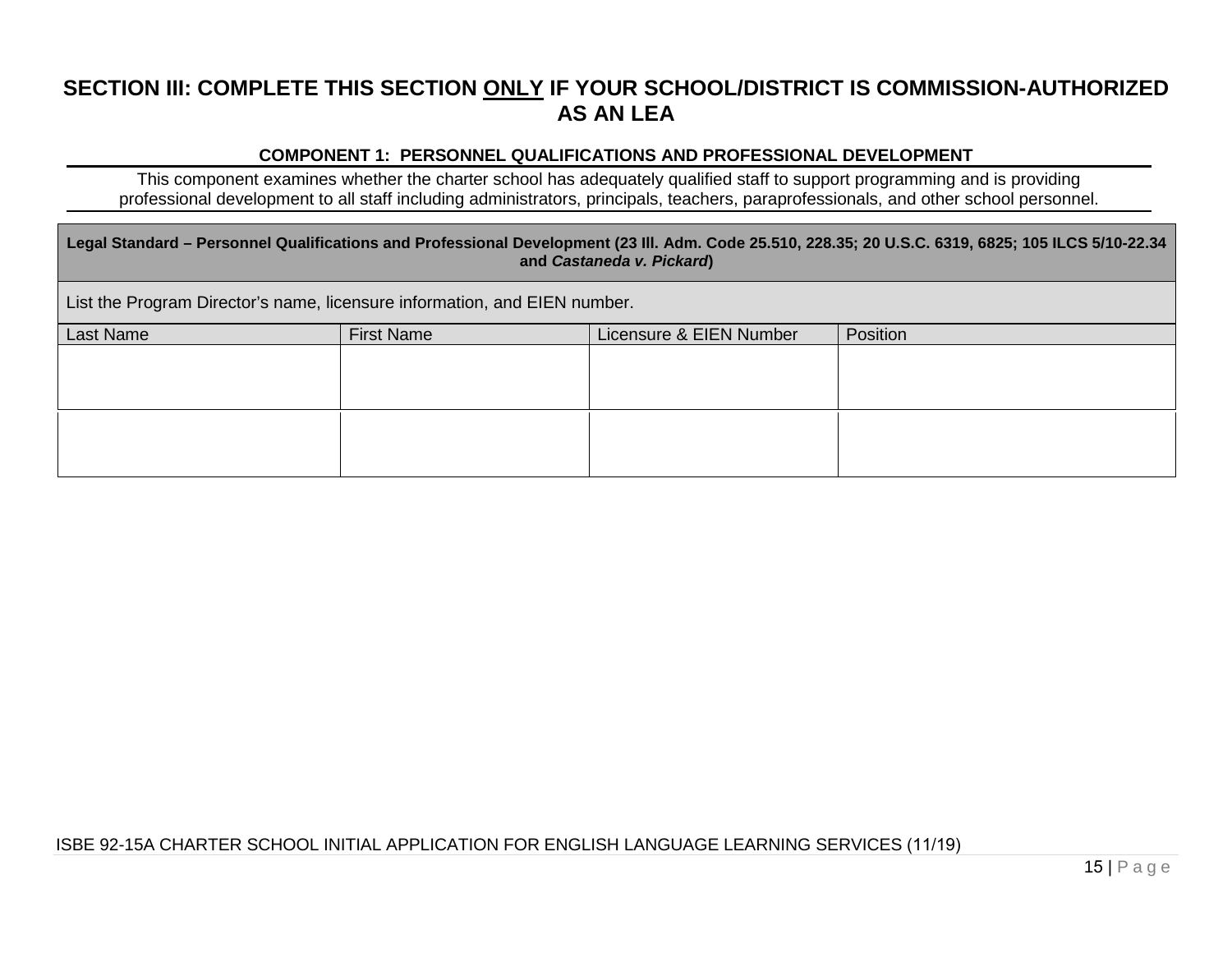# **SECTION III: COMPLETE THIS SECTION ONLY IF YOUR SCHOOL/DISTRICT IS COMMISSION-AUTHORIZED AS AN LEA**

# **COMPONENT 1: PERSONNEL QUALIFICATIONS AND PROFESSIONAL DEVELOPMENT**

This component examines whether the charter school has adequately qualified staff to support programming and is providing professional development to all staff including administrators, principals, teachers, paraprofessionals, and other school personnel.

| Legal Standard – Personnel Qualifications and Professional Development (23 III. Adm. Code 25.510, 228.35; 20 U.S.C. 6319, 6825; 105 ILCS 5/10-22.34<br>and Castaneda v. Pickard) |                   |                         |          |  |  |  |
|----------------------------------------------------------------------------------------------------------------------------------------------------------------------------------|-------------------|-------------------------|----------|--|--|--|
| List the Program Director's name, licensure information, and EIEN number.                                                                                                        |                   |                         |          |  |  |  |
| Last Name                                                                                                                                                                        | <b>First Name</b> | Licensure & EIEN Number | Position |  |  |  |
|                                                                                                                                                                                  |                   |                         |          |  |  |  |
|                                                                                                                                                                                  |                   |                         |          |  |  |  |